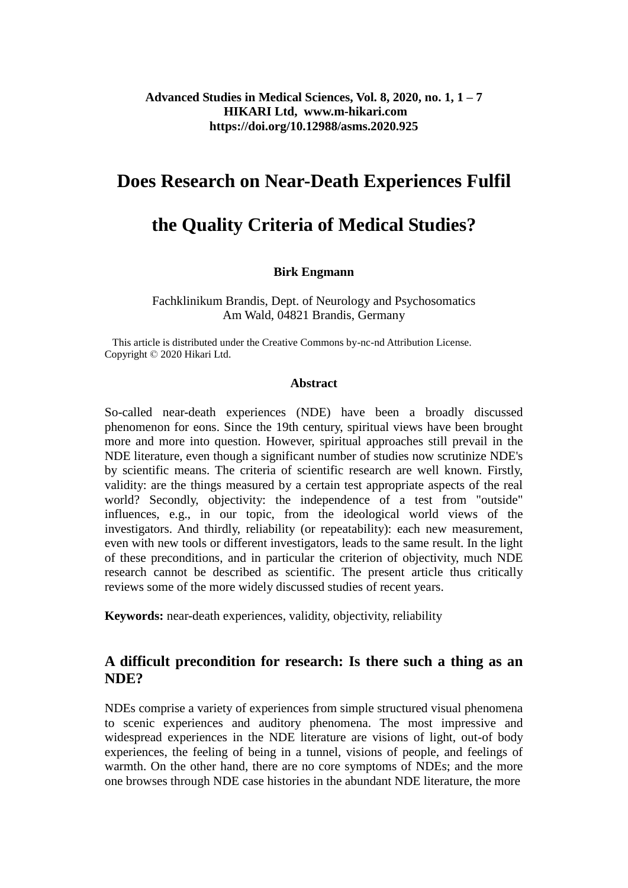## **Advanced Studies in Medical Sciences, Vol. 8, 2020, no. 1, 1 – 7 HIKARI Ltd, www.m-hikari.com https://doi.org/10.12988/asms.2020.925**

## **Does Research on Near-Death Experiences Fulfil**

# **the Quality Criteria of Medical Studies?**

#### **Birk Engmann**

Fachklinikum Brandis, Dept. of Neurology and Psychosomatics Am Wald, 04821 Brandis, Germany

 This article is distributed under the Creative Commons by-nc-nd Attribution License. Copyright © 2020 Hikari Ltd.

#### **Abstract**

So-called near-death experiences (NDE) have been a broadly discussed phenomenon for eons. Since the 19th century, spiritual views have been brought more and more into question. However, spiritual approaches still prevail in the NDE literature, even though a significant number of studies now scrutinize NDE's by scientific means. The criteria of scientific research are well known. Firstly, validity: are the things measured by a certain test appropriate aspects of the real world? Secondly, objectivity: the independence of a test from "outside" influences, e.g., in our topic, from the ideological world views of the investigators. And thirdly, reliability (or repeatability): each new measurement, even with new tools or different investigators, leads to the same result. In the light of these preconditions, and in particular the criterion of objectivity, much NDE research cannot be described as scientific. The present article thus critically reviews some of the more widely discussed studies of recent years.

**Keywords:** near-death experiences, validity, objectivity, reliability

## **A difficult precondition for research: Is there such a thing as an NDE?**

NDEs comprise a variety of experiences from simple structured visual phenomena to scenic experiences and auditory phenomena. The most impressive and widespread experiences in the NDE literature are visions of light, out-of body experiences, the feeling of being in a tunnel, visions of people, and feelings of warmth. On the other hand, there are no core symptoms of NDEs; and the more one browses through NDE case histories in the abundant NDE literature, the more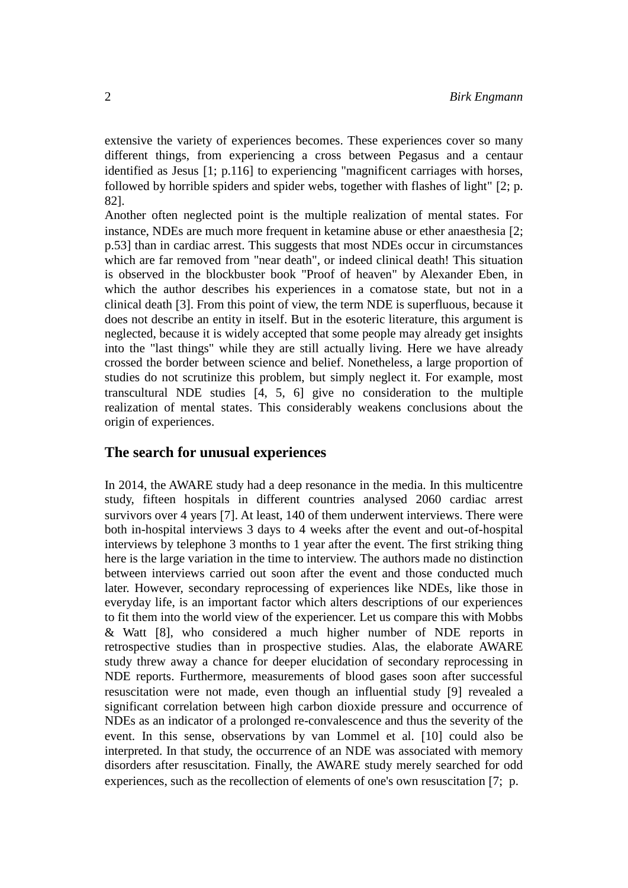extensive the variety of experiences becomes. These experiences cover so many different things, from experiencing a cross between Pegasus and a centaur identified as Jesus [1; p.116] to experiencing "magnificent carriages with horses, followed by horrible spiders and spider webs, together with flashes of light"  $[2; p]$ . 82].

Another often neglected point is the multiple realization of mental states. For instance, NDEs are much more frequent in ketamine abuse or ether anaesthesia [2; p.53] than in cardiac arrest. This suggests that most NDEs occur in circumstances which are far removed from "near death", or indeed clinical death! This situation is observed in the blockbuster book "Proof of heaven" by Alexander Eben, in which the author describes his experiences in a comatose state, but not in a clinical death 3]. From this point of view, the term NDE is superfluous, because it does not describe an entity in itself. But in the esoteric literature, this argument is neglected, because it is widely accepted that some people may already get insights into the "last things" while they are still actually living. Here we have already crossed the border between science and belief. Nonetheless, a large proportion of studies do not scrutinize this problem, but simply neglect it. For example, most transcultural NDE studies 4, 5, 6] give no consideration to the multiple realization of mental states. This considerably weakens conclusions about the origin of experiences.

## **The search for unusual experiences**

In 2014, the AWARE study had a deep resonance in the media. In this multicentre study, fifteen hospitals in different countries analysed 2060 cardiac arrest survivors over 4 years [7]. At least, 140 of them underwent interviews. There were both in-hospital interviews 3 days to 4 weeks after the event and out-of-hospital interviews by telephone 3 months to 1 year after the event. The first striking thing here is the large variation in the time to interview. The authors made no distinction between interviews carried out soon after the event and those conducted much later. However, secondary reprocessing of experiences like NDEs, like those in everyday life, is an important factor which alters descriptions of our experiences to fit them into the world view of the experiencer. Let us compare this with Mobbs & Watt 8], who considered a much higher number of NDE reports in retrospective studies than in prospective studies. Alas, the elaborate AWARE study threw away a chance for deeper elucidation of secondary reprocessing in NDE reports. Furthermore, measurements of blood gases soon after successful resuscitation were not made, even though an influential study [9] revealed a significant correlation between high carbon dioxide pressure and occurrence of NDEs as an indicator of a prolonged re-convalescence and thus the severity of the event. In this sense, observations by van Lommel et al. 10] could also be interpreted. In that study, the occurrence of an NDE was associated with memory disorders after resuscitation. Finally, the AWARE study merely searched for odd experiences, such as the recollection of elements of one's own resuscitation 7; p.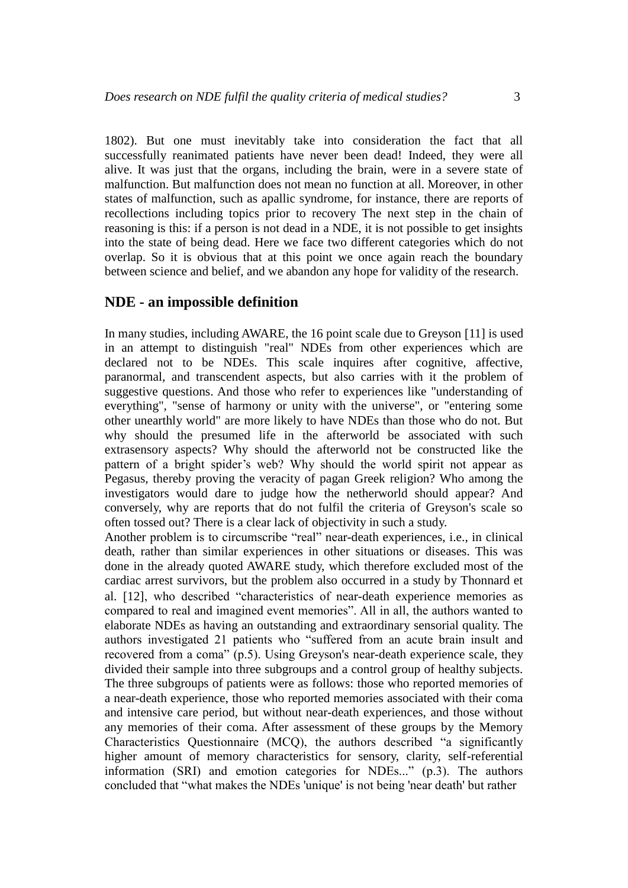1802). But one must inevitably take into consideration the fact that all successfully reanimated patients have never been dead! Indeed, they were all alive. It was just that the organs, including the brain, were in a severe state of malfunction. But malfunction does not mean no function at all. Moreover, in other states of malfunction, such as apallic syndrome, for instance, there are reports of recollections including topics prior to recovery The next step in the chain of reasoning is this: if a person is not dead in a NDE, it is not possible to get insights into the state of being dead. Here we face two different categories which do not overlap. So it is obvious that at this point we once again reach the boundary between science and belief, and we abandon any hope for validity of the research.

#### **NDE - an impossible definition**

In many studies, including AWARE, the 16 point scale due to Greyson 11] is used in an attempt to distinguish "real" NDEs from other experiences which are declared not to be NDEs. This scale inquires after cognitive, affective, paranormal, and transcendent aspects, but also carries with it the problem of suggestive questions. And those who refer to experiences like "understanding of everything", "sense of harmony or unity with the universe", or "entering some other unearthly world" are more likely to have NDEs than those who do not. But why should the presumed life in the afterworld be associated with such extrasensory aspects? Why should the afterworld not be constructed like the pattern of a bright spider's web? Why should the world spirit not appear as Pegasus, thereby proving the veracity of pagan Greek religion? Who among the investigators would dare to judge how the netherworld should appear? And conversely, why are reports that do not fulfil the criteria of Greyson's scale so often tossed out? There is a clear lack of objectivity in such a study.

Another problem is to circumscribe "real" near-death experiences, i.e., in clinical death, rather than similar experiences in other situations or diseases. This was done in the already quoted AWARE study, which therefore excluded most of the cardiac arrest survivors, but the problem also occurred in a study by Thonnard et al. 12], who described "characteristics of near-death experience memories as compared to real and imagined event memories". All in all, the authors wanted to elaborate NDEs as having an outstanding and extraordinary sensorial quality. The authors investigated 21 patients who "suffered from an acute brain insult and recovered from a coma" (p.5). Using Greyson's near-death experience scale, they divided their sample into three subgroups and a control group of healthy subjects. The three subgroups of patients were as follows: those who reported memories of a near-death experience, those who reported memories associated with their coma and intensive care period, but without near-death experiences, and those without any memories of their coma. After assessment of these groups by the Memory Characteristics Questionnaire (MCQ), the authors described "a significantly higher amount of memory characteristics for sensory, clarity, self-referential information (SRI) and emotion categories for NDEs..." (p.3). The authors concluded that "what makes the NDEs 'unique' is not being 'near death' but rather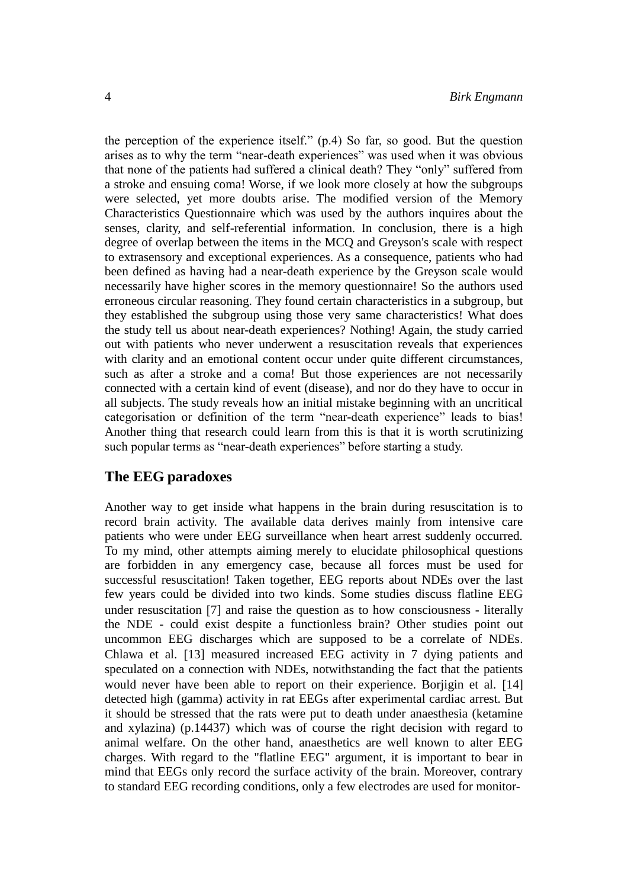the perception of the experience itself." (p.4) So far, so good. But the question arises as to why the term "near-death experiences" was used when it was obvious that none of the patients had suffered a clinical death? They "only" suffered from a stroke and ensuing coma! Worse, if we look more closely at how the subgroups were selected, yet more doubts arise. The modified version of the Memory Characteristics Questionnaire which was used by the authors inquires about the senses, clarity, and self-referential information. In conclusion, there is a high degree of overlap between the items in the MCQ and Greyson's scale with respect to extrasensory and exceptional experiences. As a consequence, patients who had been defined as having had a near-death experience by the Greyson scale would necessarily have higher scores in the memory questionnaire! So the authors used erroneous circular reasoning. They found certain characteristics in a subgroup, but they established the subgroup using those very same characteristics! What does the study tell us about near-death experiences? Nothing! Again, the study carried out with patients who never underwent a resuscitation reveals that experiences with clarity and an emotional content occur under quite different circumstances, such as after a stroke and a coma! But those experiences are not necessarily connected with a certain kind of event (disease), and nor do they have to occur in all subjects. The study reveals how an initial mistake beginning with an uncritical categorisation or definition of the term "near-death experience" leads to bias! Another thing that research could learn from this is that it is worth scrutinizing such popular terms as "near-death experiences" before starting a study.

#### **The EEG paradoxes**

Another way to get inside what happens in the brain during resuscitation is to record brain activity. The available data derives mainly from intensive care patients who were under EEG surveillance when heart arrest suddenly occurred. To my mind, other attempts aiming merely to elucidate philosophical questions are forbidden in any emergency case, because all forces must be used for successful resuscitation! Taken together, EEG reports about NDEs over the last few years could be divided into two kinds. Some studies discuss flatline EEG under resuscitation [7] and raise the question as to how consciousness - literally the NDE - could exist despite a functionless brain? Other studies point out uncommon EEG discharges which are supposed to be a correlate of NDEs. Chlawa et al. 13] measured increased EEG activity in 7 dying patients and speculated on a connection with NDEs, notwithstanding the fact that the patients would never have been able to report on their experience. Borjigin et al. [14] detected high (gamma) activity in rat EEGs after experimental cardiac arrest. But it should be stressed that the rats were put to death under anaesthesia (ketamine and xylazina) (p.14437) which was of course the right decision with regard to animal welfare. On the other hand, anaesthetics are well known to alter EEG charges. With regard to the "flatline EEG" argument, it is important to bear in mind that EEGs only record the surface activity of the brain. Moreover, contrary to standard EEG recording conditions, only a few electrodes are used for monitor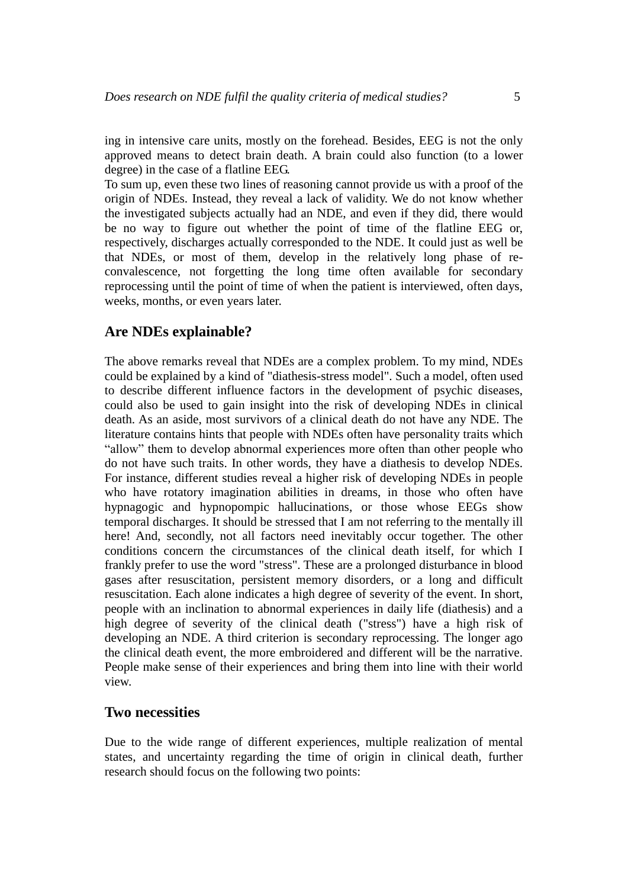ing in intensive care units, mostly on the forehead. Besides, EEG is not the only approved means to detect brain death. A brain could also function (to a lower degree) in the case of a flatline EEG.

To sum up, even these two lines of reasoning cannot provide us with a proof of the origin of NDEs. Instead, they reveal a lack of validity. We do not know whether the investigated subjects actually had an NDE, and even if they did, there would be no way to figure out whether the point of time of the flatline EEG or, respectively, discharges actually corresponded to the NDE. It could just as well be that NDEs, or most of them, develop in the relatively long phase of reconvalescence, not forgetting the long time often available for secondary reprocessing until the point of time of when the patient is interviewed, often days, weeks, months, or even years later.

#### **Are NDEs explainable?**

The above remarks reveal that NDEs are a complex problem. To my mind, NDEs could be explained by a kind of "diathesis-stress model". Such a model, often used to describe different influence factors in the development of psychic diseases, could also be used to gain insight into the risk of developing NDEs in clinical death. As an aside, most survivors of a clinical death do not have any NDE. The literature contains hints that people with NDEs often have personality traits which "allow" them to develop abnormal experiences more often than other people who do not have such traits. In other words, they have a diathesis to develop NDEs. For instance, different studies reveal a higher risk of developing NDEs in people who have rotatory imagination abilities in dreams, in those who often have hypnagogic and hypnopompic hallucinations, or those whose EEGs show temporal discharges. It should be stressed that I am not referring to the mentally ill here! And, secondly, not all factors need inevitably occur together. The other conditions concern the circumstances of the clinical death itself, for which I frankly prefer to use the word "stress". These are a prolonged disturbance in blood gases after resuscitation, persistent memory disorders, or a long and difficult resuscitation. Each alone indicates a high degree of severity of the event. In short, people with an inclination to abnormal experiences in daily life (diathesis) and a high degree of severity of the clinical death ("stress") have a high risk of developing an NDE. A third criterion is secondary reprocessing. The longer ago the clinical death event, the more embroidered and different will be the narrative. People make sense of their experiences and bring them into line with their world view.

#### **Two necessities**

Due to the wide range of different experiences, multiple realization of mental states, and uncertainty regarding the time of origin in clinical death, further research should focus on the following two points: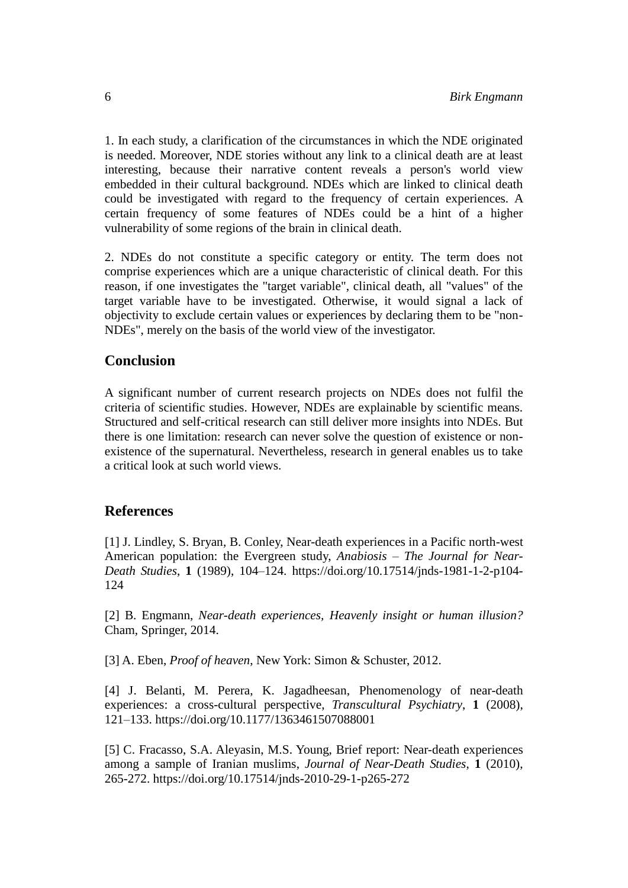1. In each study, a clarification of the circumstances in which the NDE originated is needed. Moreover, NDE stories without any link to a clinical death are at least interesting, because their narrative content reveals a person's world view embedded in their cultural background. NDEs which are linked to clinical death could be investigated with regard to the frequency of certain experiences. A certain frequency of some features of NDEs could be a hint of a higher vulnerability of some regions of the brain in clinical death.

2. NDEs do not constitute a specific category or entity. The term does not comprise experiences which are a unique characteristic of clinical death. For this reason, if one investigates the "target variable", clinical death, all "values" of the target variable have to be investigated. Otherwise, it would signal a lack of objectivity to exclude certain values or experiences by declaring them to be "non-NDEs", merely on the basis of the world view of the investigator.

## **Conclusion**

A significant number of current research projects on NDEs does not fulfil the criteria of scientific studies. However, NDEs are explainable by scientific means. Structured and self-critical research can still deliver more insights into NDEs. But there is one limitation: research can never solve the question of existence or nonexistence of the supernatural. Nevertheless, research in general enables us to take a critical look at such world views.

## **References**

1] J. Lindley, S. Bryan, B. Conley, Near-death experiences in a Pacific north-west American population: the Evergreen study, *Anabiosis – The Journal for Near-Death Studies*, **1** (1989), 104–124. https://doi.org/10.17514/jnds-1981-1-2-p104- 124

2] B. Engmann, *Near-death experiences, Heavenly insight or human illusion?* Cham, Springer, 2014.

3] A. Eben, *Proof of heaven*, New York: Simon & Schuster, 2012.

4] J. Belanti, M. Perera, K. Jagadheesan, Phenomenology of near-death experiences: a cross-cultural perspective, *Transcultural Psychiatry*, **1** (2008), 121–133. https://doi.org/10.1177/1363461507088001

5] C. Fracasso, S.A. Aleyasin, M.S. Young, Brief report: Near-death experiences among a sample of Iranian muslims, *Journal of Near-Death Studies*, **1** (2010), 265-272. https://doi.org/10.17514/jnds-2010-29-1-p265-272